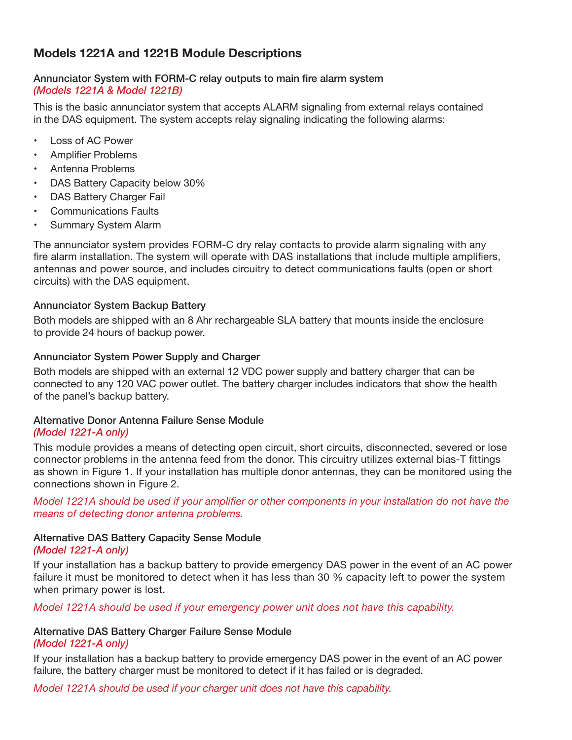# **Models 1221A and 1221B Module Descriptions**

### Annunciator System with FORM-C relay outputs to main fire alarm system *(Models 1221A & Model 1221B)*

This is the basic annunciator system that accepts ALARM signaling from external relays contained in the DAS equipment. The system accepts relay signaling indicating the following alarms:

- **Loss of AC Power**
- • Amplifier Problems
- Antenna Problems
- DAS Battery Capacity below 30%
- DAS Battery Charger Fail
- **Communications Faults**
- **Summary System Alarm**

The annunciator system provides FORM-C dry relay contacts to provide alarm signaling with any fire alarm installation. The system will operate with DAS installations that include multiple amplifiers, antennas and power source, and includes circuitry to detect communications faults (open or short circuits) with the DAS equipment.

### Annunciator System Backup Battery

Both models are shipped with an 8 Ahr rechargeable SLA battery that mounts inside the enclosure to provide 24 hours of backup power.

### Annunciator System Power Supply and Charger

Both models are shipped with an external 12 VDC power supply and battery charger that can be connected to any 120 VAC power outlet. The battery charger includes indicators that show the health of the panel's backup battery.

#### Alternative Donor Antenna Failure Sense Module *(Model 1221-A only)*

This module provides a means of detecting open circuit, short circuits, disconnected, severed or lose connector problems in the antenna feed from the donor. This circuitry utilizes external bias-T fittings as shown in Figure 1. If your installation has multiple donor antennas, they can be monitored using the connections shown in Figure 2.

*Model 1221A should be used if your amplifier or other components in your installation do not have the means of detecting donor antenna problems.*

## Alternative DAS Battery Capacity Sense Module

### *(Model 1221-A only)*

If your installation has a backup battery to provide emergency DAS power in the event of an AC power failure it must be monitored to detect when it has less than 30 % capacity left to power the system when primary power is lost.

*Model 1221A should be used if your emergency power unit does not have this capability.*

### Alternative DAS Battery Charger Failure Sense Module

### *(Model 1221-A only)*

If your installation has a backup battery to provide emergency DAS power in the event of an AC power failure, the battery charger must be monitored to detect if it has failed or is degraded.

*Model 1221A should be used if your charger unit does not have this capability.*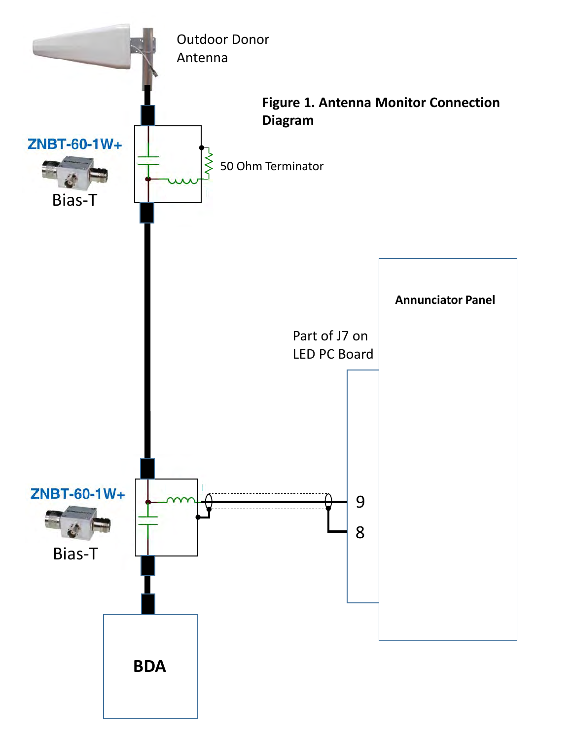